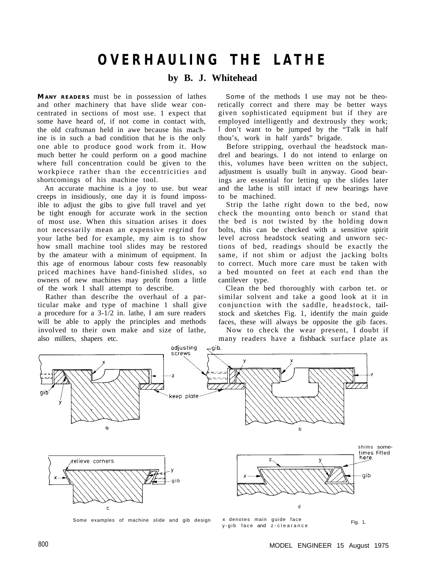# **OVERHAULING THE LATHE**

## **by B. J. Whitehead**

**M ANY READERS** must be in possession of lathes and other machinery that have slide wear concentrated in sections of most use. 1 expect that some have heard of, if not come in contact with, the old craftsman held in awe because his machine is in such a bad condition that he is the only one able to produce good work from it. How much better he could perform on a good machine where full concentration could be given to the workpiece rather than the eccentricities and shortcomings of his machine tool.

An accurate machine is a joy to use. but wear creeps in insidiously, one day it is found impossible to adjust the gibs to give full travel and yet be tight enough for accurate work in the section of most use. When this situation arises it does not necessarily mean an expensive regrind for your lathe bed for example, my aim is to show how small machine tool slides may be restored by the amateur with a minimum of equipment. In this age of enormous labour costs few reasonably priced machines have hand-finished slides, so owners of new machines may profit from a little of the work I shall attempt to describe.

Rather than describe the overhaul of a particular make and type of machine 1 shall give a procedure for a 3-1/2 in. lathe, I am sure readers will be able to apply the principles and methods involved to their own make and size of lathe, also millers, shapers etc.

Some of the methods I use may not be theoretically correct and there may be better ways given sophisticated equipment but if they are employed intelligently and dextrously they work; I don't want to be jumped by the "Talk in half thou's, work in half yards" brigade.

Before stripping, overhaul the headstock mandrel and bearings. I do not intend to enlarge on this, volumes have been written on the subject, adjustment is usually built in anyway. Good bearings are essential for letting up the slides later and the lathe is still intact if new bearings have to be machined.

Strip the lathe right down to the bed, now check the mounting onto bench or stand that the bed is not twisted by the holding down bolts, this can be checked with a sensitive spirit level across headstock seating and unworn sections of bed, readings should be exactly the same, if not shim or adjust the jacking bolts to correct. Much more care must be taken with a bed mounted on feet at each end than the cantilever type.

Clean the bed thoroughly with carbon tet. or similar solvent and take a good look at it in conjunction with the saddle, headstock, tailstock and sketches Fig. 1, identify the main guide faces, these will always be opposite the gib faces.

Now to check the wear present, I doubt if many readers have a fishback surface plate as

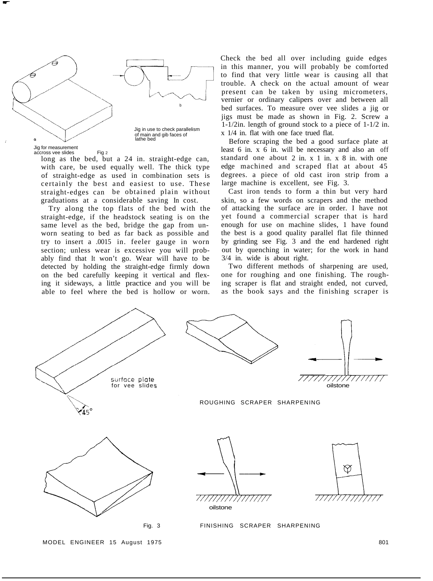

Jig for measurement accross vee slides Fig 2

long as the bed, but a 24 in. straight-edge can, with care, be used equally well. The thick type of straight-edge as used in combination sets is certainly the best and easiest to use. These straight-edges can be obtained plain without graduations at a considerable saving In cost.

Try along the top flats of the bed with the straight-edge, if the headstock seating is on the same level as the bed, bridge the gap from unworn seating to bed as far back as possible and try to insert a .0015 in. feeler gauge in worn section; unless wear is excessive you will probably find that It won't go. Wear will have to be detected by holding the straight-edge firmly down on the bed carefully keeping it vertical and flexing it sideways, a little practice and you will be able to feel where the bed is hollow or worn. Check the bed all over including guide edges in this manner, you will probably be comforted to find that very little wear is causing all that present can be taken by using micrometers, vernier or ordinary calipers over and between all bed surfaces. To measure over vee slides a jig or jigs must be made as shown in Fig. 2. Screw a trouble. A check on the actual amount of wear 1-1/2in. length of ground stock to a piece of 1-1/2 in. x 1/4 in. flat with one face trued flat.

Before scraping the bed a good surface plate at least 6 in. x 6 in. will be necessary and also an off standard one about 2 in. x 1 in. x 8 in. with one edge machined and scraped flat at about 45 degrees. a piece of old cast iron strip from a large machine is excellent, see Fig. 3.

Cast iron tends to form a thin but very hard skin, so a few words on scrapers and the method of attacking the surface are in order. I have not yet found a commercial scraper that is hard enough for use on machine slides, 1 have found the best is a good quality parallel flat file thinned by grinding see Fig. 3 and the end hardened right out by quenching in water; for the work in hand 3/4 in. wide is about right.

Two different methods of sharpening are used, one for roughing and one finishing. The roughing scraper is flat and straight ended, not curved, as the book says and the finishing scraper is

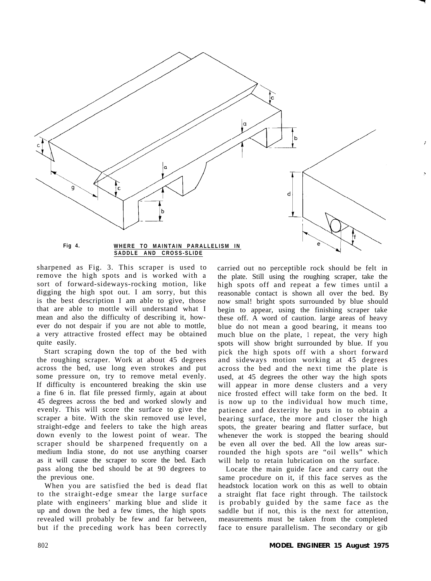

sharpened as Fig. 3. This scraper is used to remove the high spots and is worked with a sort of forward-sideways-rocking motion, like digging the high spot out. I am sorry, but this is the best description I am able to give, those that are able to mottle will understand what I mean and also the difficulty of describing it, however do not despair if you are not able to mottle, a very attractive frosted effect may be obtained quite easily.

Start scraping down the top of the bed with the roughing scraper. Work at about 45 degrees across the bed, use long even strokes and put some pressure on, try to remove metal evenly. If difficulty is encountered breaking the skin use a fine 6 in. flat file pressed firmly, again at about 45 degrees across the bed and worked slowly and evenly. This will score the surface to give the scraper a bite. With the skin removed use level, straight-edge and feelers to take the high areas down evenly to the lowest point of wear. The scraper should be sharpened frequently on a medium India stone, do not use anything coarser as it will cause the scraper to score the bed. Each pass along the bed should be at 90 degrees to the previous one.

When you are satisfied the bed is dead flat to the straight-edge smear the large surface plate with engineers' marking blue and slide it up and down the bed a few times, the high spots revealed will probably be few and far between, but if the preceding work has been correctly

carried out no perceptible rock should be felt in the plate. Still using the roughing scraper, take the high spots off and repeat a few times until a reasonable contact is shown all over the bed. By now smal! bright spots surrounded by blue should begin to appear, using the finishing scraper take these off. A word of caution. large areas of heavy blue do not mean a good bearing, it means too much blue on the plate, 1 repeat, the very high spots will show bright surrounded by blue. If you pick the high spots off with a short forward and sideways motion working at 45 degrees across the bed and the next time the plate is used, at 45 degrees the other way the high spots will appear in more dense clusters and a very nice frosted effect will take form on the bed. It is now up to the individual how much time, patience and dexterity he puts in to obtain a bearing surface, the more and closer the high spots, the greater bearing and flatter surface, but whenever the work is stopped the bearing should be even all over the bed. All the low areas surrounded the high spots are "oil wells" which will help to retain lubrication on the surface.

Locate the main guide face and carry out the same procedure on it, if this face serves as the headstock location work on this as well to obtain a straight flat face right through. The tailstock is probably guided by the same face as the saddle but if not, this is the next for attention, measurements must be taken from the completed face to ensure parallelism. The secondary or gib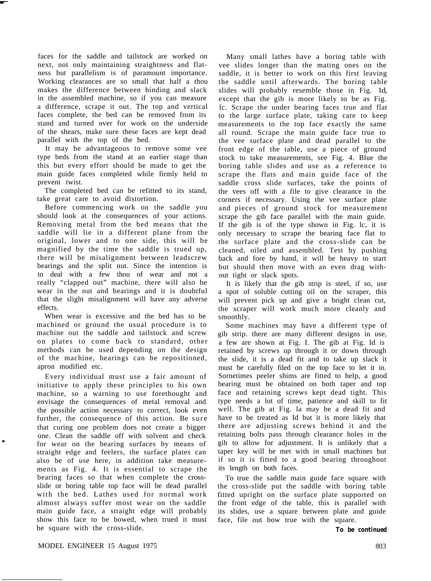faces for the saddle and tailstock are worked on next, not only maintaining straightness and flatness but parallelism is of paramount importance. Working clearances are so small that half a thou makes the difference between binding and slack in the assembled machine, so if you can measure a difference, scrape it out. The top and vertical faces complete, the bed can be removed from its stand and turned over for work on the underside of the shears, make sure these faces are kept dead parallel with the top of the bed.

It may be advantageous to remove some vee type beds from the stand at an earlier stage than this but every effort should be made to get the main guide faces completed while firmly held to prevent twist.

The completed bed can be refitted to its stand, take great care to avoid distortion.

Before commencing work on the saddle you should look at the consequences of your actions. Removing metal from the bed means that the saddle will lie in a different plane from the original, lower and to one side, this will be magnified by the time the saddle is trued up, there will be misalignment between leadscrew bearings and the split nut. Since the intention is to deal with a few thou of wear and not a really "clapped out" machine, there will also be wear in the nut and bearings and it is doubtful that the slight misalignment will have any adverse effects.

When wear is excessive and the bed has to be machined or ground the usual procedure is to machine out the saddle and tailstock and screw on plates to come back to standard, other methods can be used depending on the design of the machine, bearings can be repositioned, apron modified etc.

Every individual must use a fair amount of initiative to apply these principles to his own machine, so a warning to use forethought and envisage the consequences of metal removal and the possible action necessary to correct, look even further, the consequence of this action. Be sure that curing one problem does not create a bigger one. Clean the saddle off with solvent and check for wear on the bearing surfaces by means of straight edge and feelers, the surface plates can also be of use here, in addition take measurements as Fig. 4. It is essential to scrape the bearing faces so that when complete the crossslide or boring table top face will be dead parallel with the bed. Lathes used for normal work almost always suffer most wear on the saddle main guide face, a straight edge will probably show this face to be bowed, when trued it must be square with the cross-slide.

Many small lathes have a boring table with vee slides longer than the mating ones on the saddle, it is better to work on this first leaving the saddle until afterwards. The boring table slides will probably resemble those in Fig. 1d, except that the gib is more likely to be as Fig. lc. Scrape the under bearing faces true and flat to the large surface plate, taking care to keep measurements to the top face exactly the same all round. Scrape the main guide face true to the vee surface plate and dead parallel to the front edge of the table, use a piece of ground stock to take measurements, see Fig. 4. Blue the boring table slides and use as a reference to scrape the flats and main guide face of the saddle cross slide surfaces, take the points of the vees off with a file to give clearance in the corners if necessary. Using the vee surface plate and pieces of ground stock for measurement scrape the gib face parallel with the main guide. If the gib is of the type shown in Fig. lc, it is only necessary to scrape the bearing face flat to the surface plate and the cross-slide can be cleaned, oiled and assembled. Test by pushing back and fore by hand, it will be heavy to start but should then move with an even drag without tight or slack spots.

It is likely that the gib strip is steel, if so, use a spot of soluble cutting oil on the scraper, this will prevent pick up and give a bright clean cut, the scraper will work much more cleanly and smoothly.

Some machines may have a different type of gib strip. there are many different designs in use, a few are shown at Fig. I. The gib at Fig. Id is retained by screws up through it or down through the slide, it is a dead fit and to take up slack it must be carefully filed on the top face to let it in. Sornetimes peeler shims are fitted to help, a good bearing must be obtained on both taper and top face and retaining screws kept dead tight. This type needs a lot of time, patience and skill to fit well. The gib at Fig. la may be a dead fit and have to be treated as Id but it is more likely that there are adjusting screws behind it and the retaining bolts pass through clearance holes in the gib to allow for adjustment. It is unlikely that a taper key will be met with in small machines but if so it is fitted to a good bearing throughout its length on both faces.

To true the saddle main guide face square with the cross-slide put the saddle with boring table fitted upright on the surface plate supported on the front edge of the table, this is parallel with its slides, use a square between plate and guide face, file out bow true with the square.

*To be continued*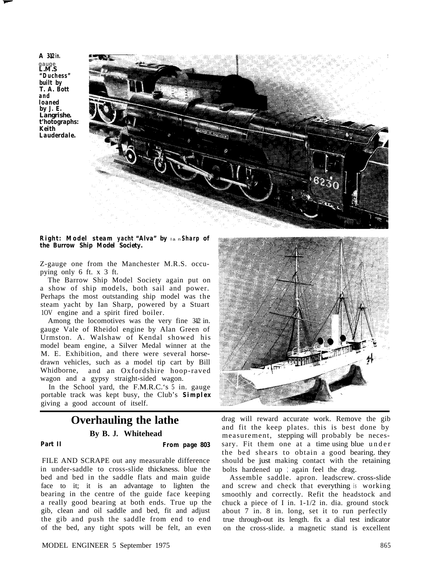A  $342$  *in.* gauge *L.M.S "Duchess" built by T. A. Bott and loaned by J. E. Langrishe. t'hotographs: Keith Lauderdale.*



#### *Right: Model steam yacht "Alva" by lan Sharp of the Burrow Ship Model Society.*

Z-gauge one from the Manchester M.R.S. occupying only 6 ft. x 3 ft.

The Barrow Ship Model Society again put on a show of ship models, both sail and power. Perhaps the most outstanding ship model was the steam yacht by Ian Sharp, powered by a Stuart 1OV engine and a spirit fired boiler.

Among the locomotives was the very fine  $312$  in. gauge Vale of Rheidol engine by Alan Green of Urmston. A. Walshaw of Kendal showed his model beam engine, a Silver Medal winner at the M. E. Exhibition, and there were several horsedrawn vehicles, such as a model tip cart by Bill Whidborne, and an Oxfordshire hoop-raved wagon and a gypsy straight-sided wagon.

In the School yard, the F.M.R.C.'s 5 in. gauge portable track was kept busy, the Club's *Simplex* giving a good account of itself.

# **Overhauling the lathe By B. J. Whitehead**

### *Part II From page 803*

FILE AND SCRAPE out any measurable difference in under-saddle to cross-slide thickness. blue the bed and bed in the saddle flats and main guide face to it; it is an advantage to lighten the bearing in the centre of the guide face keeping a really good bearing at both ends. True up the gib, clean and oil saddle and bed, fit and adjust the gib and push the saddle from end to end of the bed, any tight spots will be felt, an even



drag will reward accurate work. Remove the gib and fit the keep plates. this is best done by measurement, stepping will probably be necessary. Fit them one at a time using blue under the bed shears to obtain a good bearing. they should be just making contact with the retaining bolts hardened up ; again feel the drag.

Assemble saddle. apron. leadscrew. cross-slide and screw and check that everything is working smoothly and correctly. Refit the headstock and chuck a piece of I in. 1-1/2 in. dia. ground stock about 7 in. 8 in. long, set it to run perfectly true through-out its length. fix a dial test indicator on the cross-slide. a magnetic stand is excellent